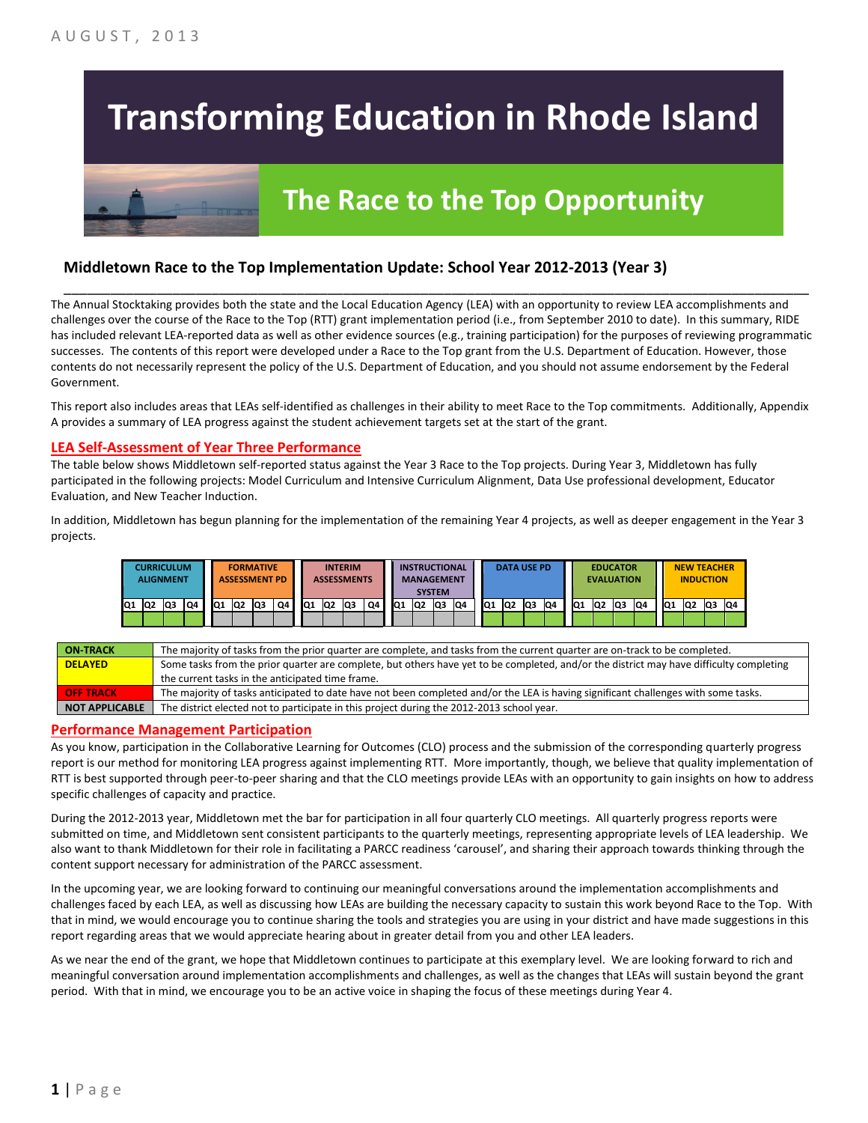## **Transforming Education in Rhode Island**

# **The Race to the Top Opportunity**

### **Middletown Race to the Top Implementation Update: School Year 2012-2013 (Year 3)**

The Annual Stocktaking provides both the state and the Local Education Agency (LEA) with an opportunity to review LEA accomplishments and challenges over the course of the Race to the Top (RTT) grant implementation period (i.e., from September 2010 to date). In this summary, RIDE has included relevant LEA-reported data as well as other evidence sources (e.g., training participation) for the purposes of reviewing programmatic successes. The contents of this report were developed under a Race to the Top grant from the U.S. Department of Education. However, those contents do not necessarily represent the policy of the U.S. Department of Education, and you should not assume endorsement by the Federal Government.

\_\_\_\_\_\_\_\_\_\_\_\_\_\_\_\_\_\_\_\_\_\_\_\_\_\_\_\_\_\_\_\_\_\_\_\_\_\_\_\_\_\_\_\_\_\_\_\_\_\_\_\_\_\_\_\_\_\_\_\_\_\_\_\_\_\_\_\_\_\_\_\_\_\_\_\_\_\_\_\_\_\_\_\_\_\_\_\_\_\_\_\_\_\_\_\_

This report also includes areas that LEAs self-identified as challenges in their ability to meet Race to the Top commitments. Additionally, Appendix A provides a summary of LEA progress against the student achievement targets set at the start of the grant.

#### **LEA Self-Assessment of Year Three Performance**

The table below shows Middletown self-reported status against the Year 3 Race to the Top projects. During Year 3, Middletown has fully participated in the following projects: Model Curriculum and Intensive Curriculum Alignment, Data Use professional development, Educator Evaluation, and New Teacher Induction.

In addition, Middletown has begun planning for the implementation of the remaining Year 4 projects, as well as deeper engagement in the Year 3 projects.

|    | <b>CURRICULUM</b><br><b>ALIGNMENT</b> |     |    |     |     | <b>FORMATIVE</b><br><b>ASSESSMENT PD</b> |    |     |    | <b>INTERIM</b><br><b>ASSESSMENTS</b> |    |     |                | <b>INSTRUCTIONAL</b><br><b>MANAGEMENT</b><br><b>SYSTEM</b> |    |                 | <b>DATA USE PD</b><br><b>EDUCATOR</b><br><b>EVALUATION</b> |     |    |                 |                 |    | <b>NEW TEACHER</b><br><b>INDUCTION</b> |                 |    |     |    |
|----|---------------------------------------|-----|----|-----|-----|------------------------------------------|----|-----|----|--------------------------------------|----|-----|----------------|------------------------------------------------------------|----|-----------------|------------------------------------------------------------|-----|----|-----------------|-----------------|----|----------------------------------------|-----------------|----|-----|----|
| Q1 | lQ2                                   | lQ3 | Q4 | IQ1 | IQ2 | Q3                                       | Q4 | IQ1 | Q2 | Q3                                   | Q4 | IQ1 | Q <sub>2</sub> | lQ3                                                        | Q4 | IQ <sub>1</sub> | IQ2                                                        | lQ3 | Q4 | IQ <sub>1</sub> | IQ <sub>2</sub> | Q3 | Q4                                     | IQ <sub>1</sub> | Q2 | lQ3 | Q4 |
|    |                                       |     |    |     |     |                                          |    |     |    |                                      |    |     |                |                                                            |    |                 |                                                            |     |    |                 |                 |    |                                        |                 |    |     |    |

| <b>ON-TRACK</b>       | The majority of tasks from the prior quarter are complete, and tasks from the current quarter are on-track to be completed.             |
|-----------------------|-----------------------------------------------------------------------------------------------------------------------------------------|
| <b>DELAYED</b>        | Some tasks from the prior quarter are complete, but others have yet to be completed, and/or the district may have difficulty completing |
|                       | the current tasks in the anticipated time frame.                                                                                        |
| <b>OFF TRACK</b>      | The majority of tasks anticipated to date have not been completed and/or the LEA is having significant challenges with some tasks.      |
| <b>NOT APPLICABLE</b> | The district elected not to participate in this project during the 2012-2013 school year.                                               |

#### **Performance Management Participation**

As you know, participation in the Collaborative Learning for Outcomes (CLO) process and the submission of the corresponding quarterly progress report is our method for monitoring LEA progress against implementing RTT. More importantly, though, we believe that quality implementation of RTT is best supported through peer-to-peer sharing and that the CLO meetings provide LEAs with an opportunity to gain insights on how to address specific challenges of capacity and practice.

During the 2012-2013 year, Middletown met the bar for participation in all four quarterly CLO meetings. All quarterly progress reports were submitted on time, and Middletown sent consistent participants to the quarterly meetings, representing appropriate levels of LEA leadership. We also want to thank Middletown for their role in facilitating a PARCC readiness 'carousel', and sharing their approach towards thinking through the content support necessary for administration of the PARCC assessment.

In the upcoming year, we are looking forward to continuing our meaningful conversations around the implementation accomplishments and challenges faced by each LEA, as well as discussing how LEAs are building the necessary capacity to sustain this work beyond Race to the Top. With that in mind, we would encourage you to continue sharing the tools and strategies you are using in your district and have made suggestions in this report regarding areas that we would appreciate hearing about in greater detail from you and other LEA leaders.

As we near the end of the grant, we hope that Middletown continues to participate at this exemplary level. We are looking forward to rich and meaningful conversation around implementation accomplishments and challenges, as well as the changes that LEAs will sustain beyond the grant period. With that in mind, we encourage you to be an active voice in shaping the focus of these meetings during Year 4.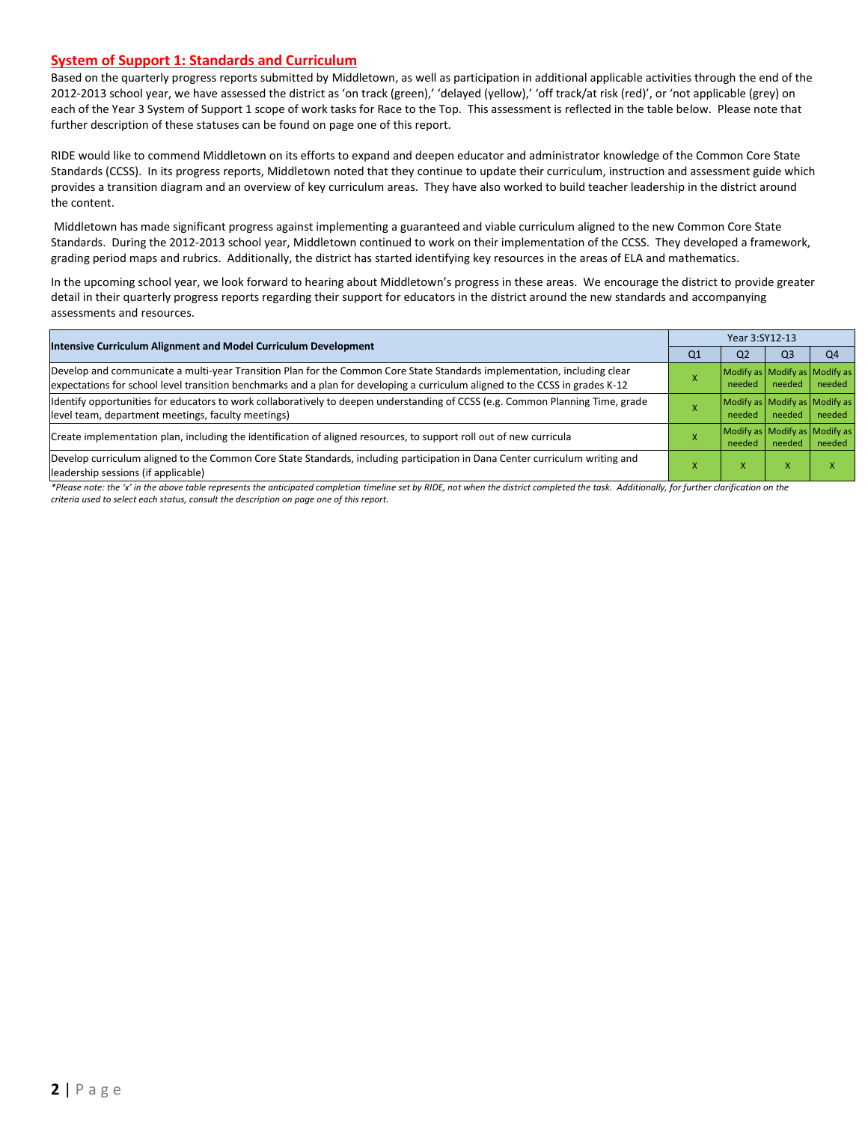#### **System of Support 1: Standards and Curriculum**

Based on the quarterly progress reports submitted by Middletown, as well as participation in additional applicable activities through the end of the 2012-2013 school year, we have assessed the district as 'on track (green),' 'delayed (yellow),' 'off track/at risk (red)', or 'not applicable (grey) on each of the Year 3 System of Support 1 scope of work tasks for Race to the Top. This assessment is reflected in the table below. Please note that further description of these statuses can be found on page one of this report.

RIDE would like to commend Middletown on its efforts to expand and deepen educator and administrator knowledge of the Common Core State Standards (CCSS). In its progress reports, Middletown noted that they continue to update their curriculum, instruction and assessment guide which provides a transition diagram and an overview of key curriculum areas. They have also worked to build teacher leadership in the district around the content.

Middletown has made significant progress against implementing a guaranteed and viable curriculum aligned to the new Common Core State Standards. During the 2012-2013 school year, Middletown continued to work on their implementation of the CCSS. They developed a framework, grading period maps and rubrics. Additionally, the district has started identifying key resources in the areas of ELA and mathematics.

In the upcoming school year, we look forward to hearing about Middletown's progress in these areas. We encourage the district to provide greater detail in their quarterly progress reports regarding their support for educators in the district around the new standards and accompanying assessments and resources.

| <b>Intensive Curriculum Alignment and Model Curriculum Development</b>                                                                                                                                                                                    |    | Year 3:SY12-13 |           |                                         |  |  |  |  |
|-----------------------------------------------------------------------------------------------------------------------------------------------------------------------------------------------------------------------------------------------------------|----|----------------|-----------|-----------------------------------------|--|--|--|--|
|                                                                                                                                                                                                                                                           | Q1 | Q <sub>2</sub> | Q3        | O <sub>4</sub>                          |  |  |  |  |
| Develop and communicate a multi-year Transition Plan for the Common Core State Standards implementation, including clear<br>expectations for school level transition benchmarks and a plan for developing a curriculum aligned to the CCSS in grades K-12 |    | needed         | needed    | Modify as Modify as Modify as<br>needed |  |  |  |  |
| Identify opportunities for educators to work collaboratively to deepen understanding of CCSS (e.g. Common Planning Time, grade<br>level team, department meetings, faculty meetings)                                                                      |    | needed         | needed    | Modify as Modify as Modify as<br>needed |  |  |  |  |
| Create implementation plan, including the identification of aligned resources, to support roll out of new curricula                                                                                                                                       |    | needed         | needed    | Modify as Modify as Modify as<br>needed |  |  |  |  |
| Develop curriculum aligned to the Common Core State Standards, including participation in Dana Center curriculum writing and<br>leadership sessions (if applicable)                                                                                       |    | X              | $\lambda$ |                                         |  |  |  |  |

\*Please note: the 'x' in the above table represents the anticipated completion timeline set by RIDE, not when the district completed the task. Additionally, for further clarification on the *criteria used to select each status, consult the description on page one of this report.*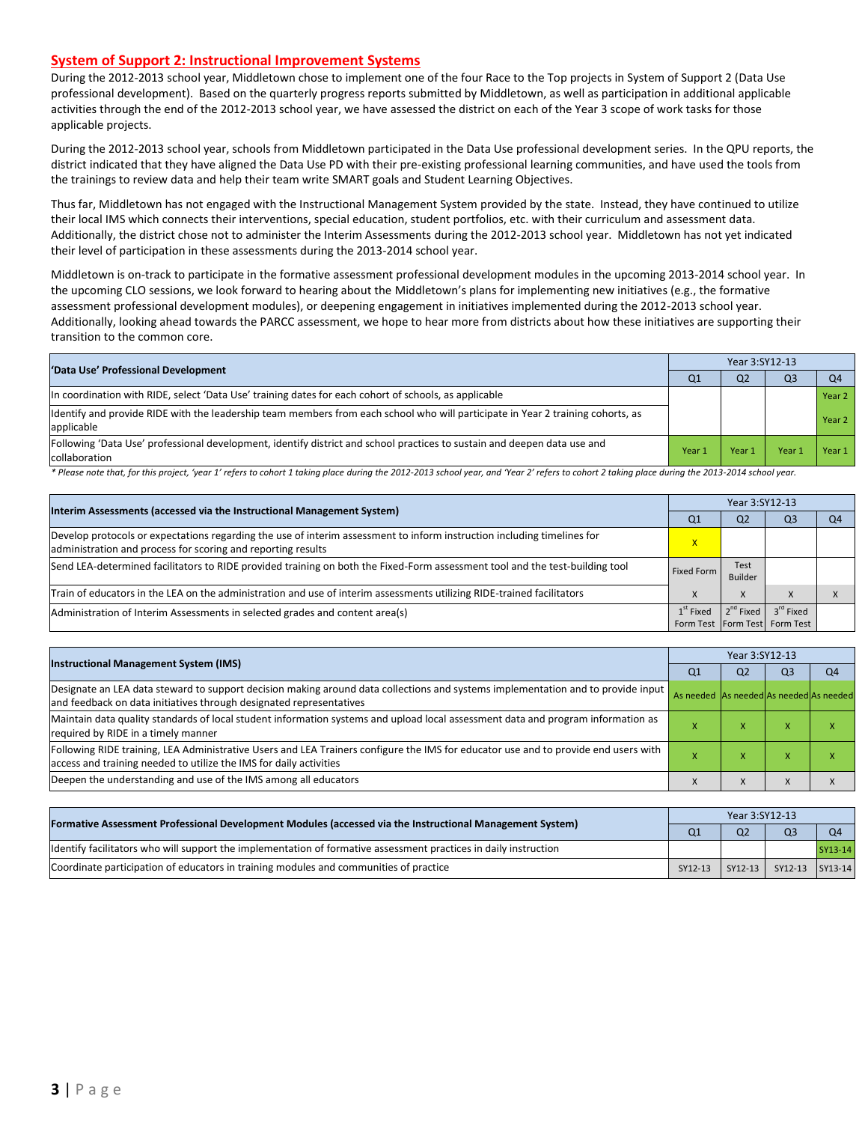#### **System of Support 2: Instructional Improvement Systems**

During the 2012-2013 school year, Middletown chose to implement one of the four Race to the Top projects in System of Support 2 (Data Use professional development). Based on the quarterly progress reports submitted by Middletown, as well as participation in additional applicable activities through the end of the 2012-2013 school year, we have assessed the district on each of the Year 3 scope of work tasks for those applicable projects.

During the 2012-2013 school year, schools from Middletown participated in the Data Use professional development series. In the QPU reports, the district indicated that they have aligned the Data Use PD with their pre-existing professional learning communities, and have used the tools from the trainings to review data and help their team write SMART goals and Student Learning Objectives.

Thus far, Middletown has not engaged with the Instructional Management System provided by the state. Instead, they have continued to utilize their local IMS which connects their interventions, special education, student portfolios, etc. with their curriculum and assessment data. Additionally, the district chose not to administer the Interim Assessments during the 2012-2013 school year. Middletown has not yet indicated their level of participation in these assessments during the 2013-2014 school year.

Middletown is on-track to participate in the formative assessment professional development modules in the upcoming 2013-2014 school year. In the upcoming CLO sessions, we look forward to hearing about the Middletown's plans for implementing new initiatives (e.g., the formative assessment professional development modules), or deepening engagement in initiatives implemented during the 2012-2013 school year. Additionally, looking ahead towards the PARCC assessment, we hope to hear more from districts about how these initiatives are supporting their transition to the common core.

| 'Data Use' Professional Development                                                                                                           | Year 3:SY12-13 |                |      |                |  |  |
|-----------------------------------------------------------------------------------------------------------------------------------------------|----------------|----------------|------|----------------|--|--|
|                                                                                                                                               | Q1             | Q <sub>2</sub> | Q3   | O <sub>4</sub> |  |  |
| In coordination with RIDE, select 'Data Use' training dates for each cohort of schools, as applicable                                         |                |                |      | Year 2         |  |  |
| Identify and provide RIDE with the leadership team members from each school who will participate in Year 2 training cohorts, as<br>applicable |                |                |      | Year 2         |  |  |
| Following 'Data Use' professional development, identify district and school practices to sustain and deepen data use and<br>collaboration     | Year 1         | Year 1         | Year | Year 1         |  |  |

\* Please note that, for this project, 'year 1' refers to cohort 1 taking place during the 2012-2013 school year, and 'Year 2' refers to cohort 2 taking place during the 2013-2014 school year.

|                                                                                                                                                                                         | Year 3:SY12-13                                             |                       |                       |                |  |  |
|-----------------------------------------------------------------------------------------------------------------------------------------------------------------------------------------|------------------------------------------------------------|-----------------------|-----------------------|----------------|--|--|
| Interim Assessments (accessed via the Instructional Management System)                                                                                                                  | Q <sub>1</sub>                                             | Q <sub>2</sub>        | Q3                    | Q <sub>4</sub> |  |  |
| Develop protocols or expectations regarding the use of interim assessment to inform instruction including timelines for<br>administration and process for scoring and reporting results | X                                                          |                       |                       |                |  |  |
| Send LEA-determined facilitators to RIDE provided training on both the Fixed-Form assessment tool and the test-building tool                                                            | Fixed Form                                                 | Test<br>Builder       |                       |                |  |  |
| Train of educators in the LEA on the administration and use of interim assessments utilizing RIDE-trained facilitators                                                                  |                                                            | X                     | $\lambda$             |                |  |  |
| Administration of Interim Assessments in selected grades and content area(s)                                                                                                            | $1^{\text{st}}$ Fixed<br>Form Test   Form Test   Form Test | 2 <sup>nd</sup> Fixed | 3 <sup>rd</sup> Fixed |                |  |  |

|                                                                                                                                                                                                           | Year 3:SY12-13                          |                |                |                |  |  |
|-----------------------------------------------------------------------------------------------------------------------------------------------------------------------------------------------------------|-----------------------------------------|----------------|----------------|----------------|--|--|
| <b>Instructional Management System (IMS)</b>                                                                                                                                                              | Q1                                      | Q <sub>2</sub> | Q <sub>3</sub> | Q <sub>4</sub> |  |  |
| Designate an LEA data steward to support decision making around data collections and systems implementation and to provide input<br>and feedback on data initiatives through designated representatives   | As needed As needed As needed As needed |                |                |                |  |  |
| Maintain data quality standards of local student information systems and upload local assessment data and program information as<br>required by RIDE in a timely manner                                   |                                         |                |                |                |  |  |
| Following RIDE training, LEA Administrative Users and LEA Trainers configure the IMS for educator use and to provide end users with<br>access and training needed to utilize the IMS for daily activities |                                         | ⋏              |                |                |  |  |
| Deepen the understanding and use of the IMS among all educators                                                                                                                                           |                                         | л              |                |                |  |  |

| [Formative Assessment Professional Development Modules (accessed via the Instructional Management System)        |         | Year 3:SY12-13 |                         |                |  |  |  |  |
|------------------------------------------------------------------------------------------------------------------|---------|----------------|-------------------------|----------------|--|--|--|--|
|                                                                                                                  |         | Q <sub>2</sub> | O <sup>3</sup>          | O <sub>4</sub> |  |  |  |  |
| ldentify facilitators who will support the implementation of formative assessment practices in daily instruction |         |                |                         | SY13-14        |  |  |  |  |
| Coordinate participation of educators in training modules and communities of practice                            | SY12-13 |                | SY12-13 SY12-13 SY13-14 |                |  |  |  |  |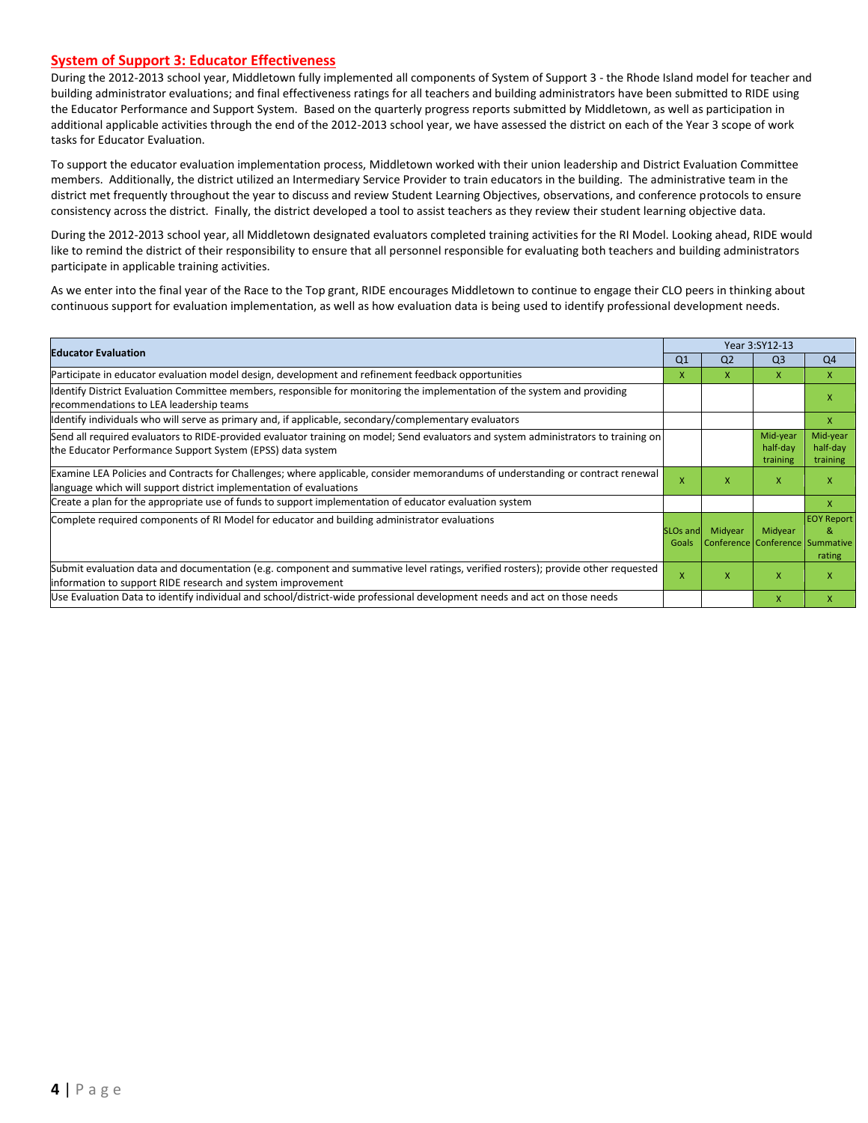#### **System of Support 3: Educator Effectiveness**

During the 2012-2013 school year, Middletown fully implemented all components of System of Support 3 - the Rhode Island model for teacher and building administrator evaluations; and final effectiveness ratings for all teachers and building administrators have been submitted to RIDE using the Educator Performance and Support System. Based on the quarterly progress reports submitted by Middletown, as well as participation in additional applicable activities through the end of the 2012-2013 school year, we have assessed the district on each of the Year 3 scope of work tasks for Educator Evaluation.

To support the educator evaluation implementation process, Middletown worked with their union leadership and District Evaluation Committee members. Additionally, the district utilized an Intermediary Service Provider to train educators in the building. The administrative team in the district met frequently throughout the year to discuss and review Student Learning Objectives, observations, and conference protocols to ensure consistency across the district. Finally, the district developed a tool to assist teachers as they review their student learning objective data.

During the 2012-2013 school year, all Middletown designated evaluators completed training activities for the RI Model. Looking ahead, RIDE would like to remind the district of their responsibility to ensure that all personnel responsible for evaluating both teachers and building administrators participate in applicable training activities.

As we enter into the final year of the Race to the Top grant, RIDE encourages Middletown to continue to engage their CLO peers in thinking about continuous support for evaluation implementation, as well as how evaluation data is being used to identify professional development needs.

|                                                                                                                                                                                                      |                               |                | Year 3:SY12-13                             |                                  |
|------------------------------------------------------------------------------------------------------------------------------------------------------------------------------------------------------|-------------------------------|----------------|--------------------------------------------|----------------------------------|
| <b>Educator Evaluation</b>                                                                                                                                                                           | Q <sub>1</sub>                | Q <sub>2</sub> | Q <sub>3</sub>                             | Q <sub>4</sub>                   |
| Participate in educator evaluation model design, development and refinement feedback opportunities                                                                                                   | x                             | x              | X                                          | X                                |
| Identify District Evaluation Committee members, responsible for monitoring the implementation of the system and providing<br>recommendations to LEA leadership teams                                 |                               |                |                                            | X                                |
| ldentify individuals who will serve as primary and, if applicable, secondary/complementary evaluators                                                                                                |                               |                |                                            | x                                |
| Send all required evaluators to RIDE-provided evaluator training on model; Send evaluators and system administrators to training on<br>the Educator Performance Support System (EPSS) data system    |                               |                | Mid-year<br>half-day<br>training           | Mid-year<br>half-day<br>training |
| Examine LEA Policies and Contracts for Challenges; where applicable, consider memorandums of understanding or contract renewal<br>language which will support district implementation of evaluations |                               | x              | X                                          | X                                |
| Create a plan for the appropriate use of funds to support implementation of educator evaluation system                                                                                               |                               |                |                                            | X                                |
| Complete required components of RI Model for educator and building administrator evaluations                                                                                                         | SLO <sub>s</sub> and<br>Goals | Midyear        | Midyear<br>Conference Conference Summative | <b>EOY Report</b><br>&<br>rating |
| Submit evaluation data and documentation (e.g. component and summative level ratings, verified rosters); provide other requested<br>information to support RIDE research and system improvement      | X                             | X              | X                                          | X                                |
| Use Evaluation Data to identify individual and school/district-wide professional development needs and act on those needs                                                                            |                               |                | X                                          | x                                |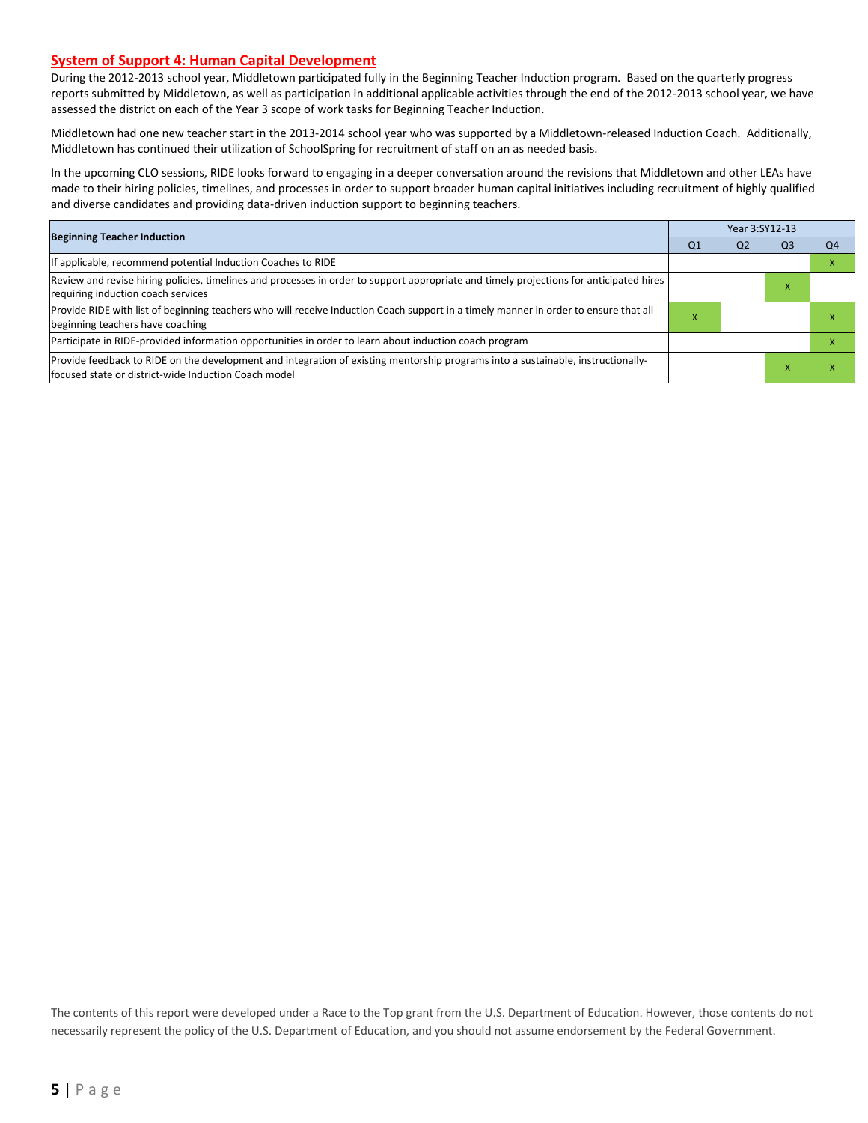#### **System of Support 4: Human Capital Development**

During the 2012-2013 school year, Middletown participated fully in the Beginning Teacher Induction program. Based on the quarterly progress reports submitted by Middletown, as well as participation in additional applicable activities through the end of the 2012-2013 school year, we have assessed the district on each of the Year 3 scope of work tasks for Beginning Teacher Induction.

Middletown had one new teacher start in the 2013-2014 school year who was supported by a Middletown-released Induction Coach. Additionally, Middletown has continued their utilization of SchoolSpring for recruitment of staff on an as needed basis.

In the upcoming CLO sessions, RIDE looks forward to engaging in a deeper conversation around the revisions that Middletown and other LEAs have made to their hiring policies, timelines, and processes in order to support broader human capital initiatives including recruitment of highly qualified and diverse candidates and providing data-driven induction support to beginning teachers.

| <b>Beginning Teacher Induction</b>                                                                                                                                                        |                | Year 3:SY12-13 |                |                |  |  |  |
|-------------------------------------------------------------------------------------------------------------------------------------------------------------------------------------------|----------------|----------------|----------------|----------------|--|--|--|
|                                                                                                                                                                                           | Q <sub>1</sub> | Q <sub>2</sub> | Q <sub>3</sub> | O <sub>4</sub> |  |  |  |
| If applicable, recommend potential Induction Coaches to RIDE                                                                                                                              |                |                |                |                |  |  |  |
| Review and revise hiring policies, timelines and processes in order to support appropriate and timely projections for anticipated hires<br>requiring induction coach services             |                |                | A              |                |  |  |  |
| Provide RIDE with list of beginning teachers who will receive Induction Coach support in a timely manner in order to ensure that all<br>beginning teachers have coaching                  | ⋏              |                |                |                |  |  |  |
| Participate in RIDE-provided information opportunities in order to learn about induction coach program                                                                                    |                |                |                |                |  |  |  |
| Provide feedback to RIDE on the development and integration of existing mentorship programs into a sustainable, instructionally-<br>lfocused state or district-wide Induction Coach model |                |                |                |                |  |  |  |

The contents of this report were developed under a Race to the Top grant from the U.S. Department of Education. However, those contents do not necessarily represent the policy of the U.S. Department of Education, and you should not assume endorsement by the Federal Government.